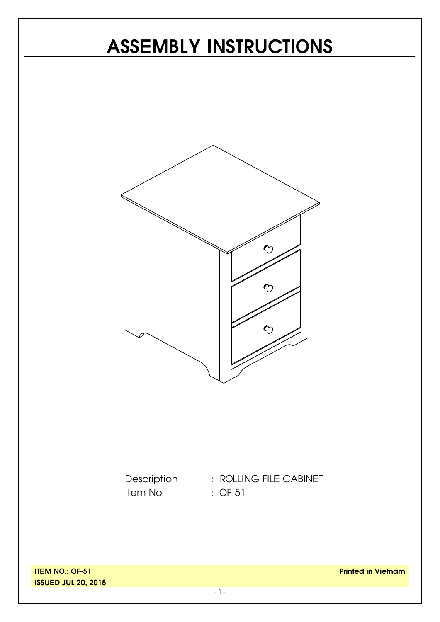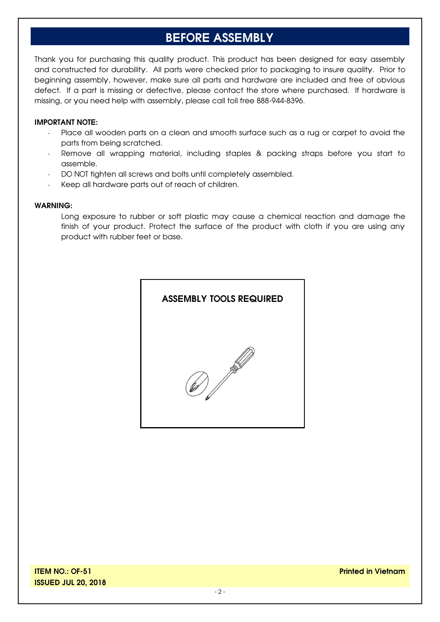### **BEFORE ASSEMBLY**

Thank you for purchasing this quality product. This product has been designed for easy assembly and constructed for durability. All parts were checked prior to packaging to insure quality. Prior to beginning assembly, however, make sure all parts and hardware are included and free of obvious defect. If a part is missing or defective, please contact the store where purchased. If hardware is missing, or you need help with assembly, please call toll free 888-944-8396.

#### **IMPORTANT NOTE:**

- Place all wooden parts on a clean and smooth surface such as a rug or carpet to avoid the parts from being scratched.
- Remove all wrapping material, including staples & packing straps before you start to assemble.
- DO NOT tighten all screws and bolts until completely assembled.
- Keep all hardware parts out of reach of children.

#### **WARNING:**

Long exposure to rubber or soft plastic may cause a chemical reaction and damage the finish of your product. Protect the surface of the product with cloth if you are using any product with rubber feet or base.

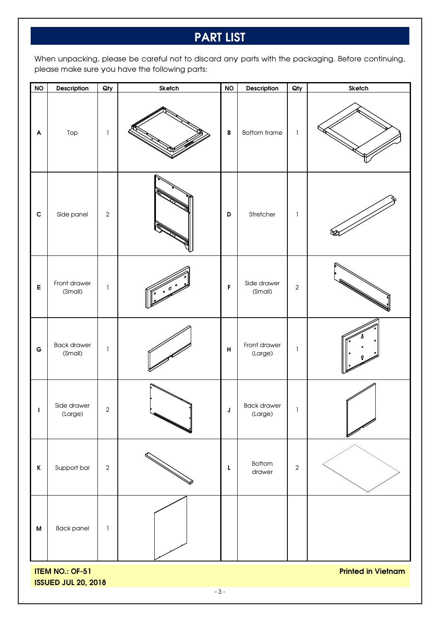## **PART LIST**

When unpacking, please be careful not to discard any parts with the packaging. Before continuing, please make sure you have the following parts:

| <b>NO</b>                                                                         | Description                   | $Q$ ty        | Sketch | $\mathsf{NO}$ | Description                   | Qty          | Sketch |  |
|-----------------------------------------------------------------------------------|-------------------------------|---------------|--------|---------------|-------------------------------|--------------|--------|--|
| $\boldsymbol{\mathsf{A}}$                                                         | Top                           | $\mathbf{I}$  |        | $\, {\bf B}$  | <b>Bottom frame</b>           | $\mathbf{1}$ |        |  |
| $\mathbf{C}$                                                                      | Side panel                    | $\sqrt{2}$    |        | D             | Stretcher                     | $\mathbf{1}$ |        |  |
| $\mathsf E$                                                                       | Front drawer<br>(Small)       | $\mathbf{I}$  |        | F             | Side drawer<br>(Small)        | $\sqrt{2}$   |        |  |
| $\mathbf G$                                                                       | <b>Back drawer</b><br>(Small) | $\mathbf{I}$  |        | H             | Front drawer<br>(Large)       | $\mathbf{I}$ |        |  |
| $\mathbf{I}$                                                                      | Side drawer<br>(Large)        | $\sqrt{2}$    |        | J             | <b>Back drawer</b><br>(Large) | 1            |        |  |
| $\mathsf K$                                                                       | Support bar                   | $\sqrt{2}$    |        | L             | Bottom<br>drawer              | $\sqrt{2}$   |        |  |
| $\boldsymbol{\mathsf{M}}$                                                         | <b>Back panel</b>             | $\mathbbm{1}$ |        |               |                               |              |        |  |
| <b>ITEM NO.: OF-51</b><br><b>Printed in Vietnam</b><br><b>ISSUED JUL 20, 2018</b> |                               |               |        |               |                               |              |        |  |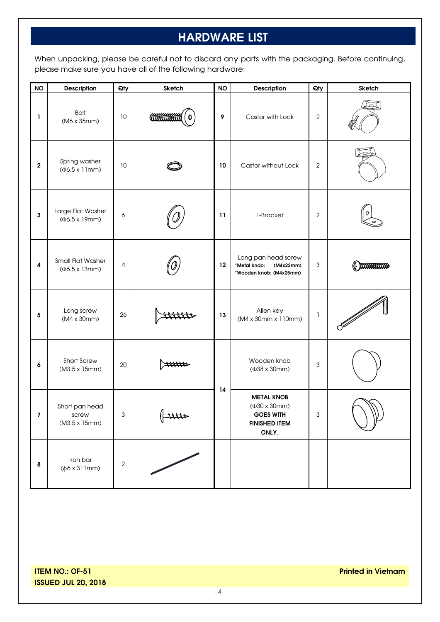# **HARDWARE LIST**

When unpacking, please be careful not to discard any parts with the packaging. Before continuing, please make sure you have all of the following hardware:

| <b>NO</b>               | Description                                              | Qty        | Sketch                | <b>NO</b>       | <b>Description</b>                                                                              | Qty            | <b>Sketch</b> |
|-------------------------|----------------------------------------------------------|------------|-----------------------|-----------------|-------------------------------------------------------------------------------------------------|----------------|---------------|
| 1.                      | <b>Bolt</b><br>(M6 x 35mm)                               | 10         | <b>COMMONAM</b>       | 9               | Castor with Lock                                                                                | $\mathbf{2}$   |               |
| $\mathbf{2}$            | Spring washer<br>$(\Phi6.5 \times 11$ mm)                | 10         |                       | 10              | Castor without Lock                                                                             | $\mathbf{2}$   |               |
| $\mathbf{3}$            | Large Flat Washer<br>$(46.5 \times 19$ mm)               | 6          |                       | $\overline{11}$ | L-Bracket                                                                                       | $\overline{2}$ |               |
| $\pmb{4}$               | <b>Small Flat Washer</b><br>$(46.5 \times 13 \text{mm})$ | 4          |                       | 12              | Long pan head screw<br>*Metal knob:<br>(M4x22mm)<br>*Wooden knob: (M4x25mm)                     | 3              | boommon       |
| $\overline{\mathbf{5}}$ | Long screw<br>(M4 x 30mm)                                | 26         |                       | 13              | Allen key<br>(M4 x 30mm x 110mm)                                                                | $\mathbf{I}$   |               |
| 6                       | Short Screw<br>(M3.5 x 15mm)                             | 20         | Attitto               |                 | Wooden knob<br>(Φ38 x 30mm)                                                                     | 3              |               |
| 7                       | Short pan head<br>screw<br>(M3.5 x 15mm)                 | 3          | $\Lambda$<br>$\theta$ | 14              | <b>METAL KNOB</b><br>$(430 \times 30)$ mm)<br><b>GOES WITH</b><br><b>FINISHED ITEM</b><br>ONLY. | 3              | W.            |
| $\pmb{8}$               | Iron bar<br>$(\phi6 \times 311$ mm)                      | $\sqrt{2}$ |                       |                 |                                                                                                 |                |               |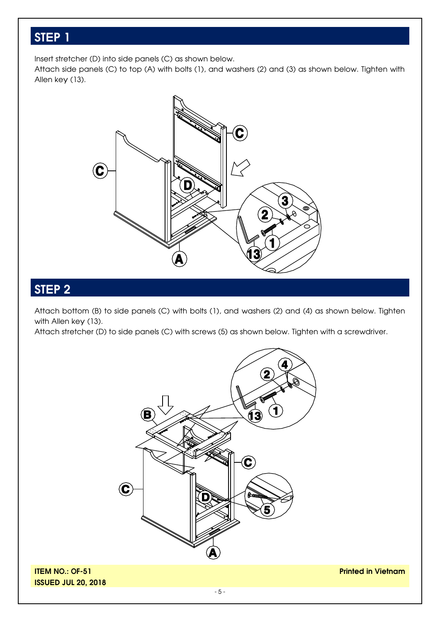Insert stretcher (D) into side panels (C) as shown below.

Attach side panels (C) to top (A) with bolts (1), and washers (2) and (3) as shown below. Tighten with Allen key (13).



#### **STEP 2**

Attach bottom (B) to side panels (C) with bolts (1), and washers (2) and (4) as shown below. Tighten with Allen key (13).

Attach stretcher (D) to side panels (C) with screws (5) as shown below. Tighten with a screwdriver.



**ITEM NO.: OF-51 ISSUED JUL 20, 2018** **Printed in Vietnam**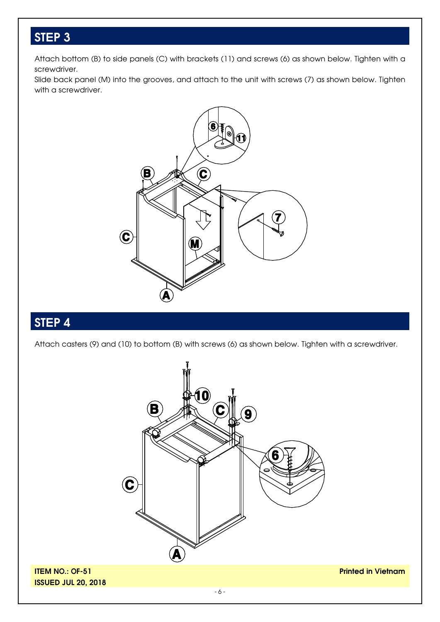Attach bottom (B) to side panels (C) with brackets (11) and screws (6) as shown below. Tighten with a screwdriver.

Slide back panel (M) into the grooves, and attach to the unit with screws (7) as shown below. Tighten with a screwdriver.



## **STEP 4**

Attach casters (9) and (10) to bottom (B) with screws (6) as shown below. Tighten with a screwdriver.

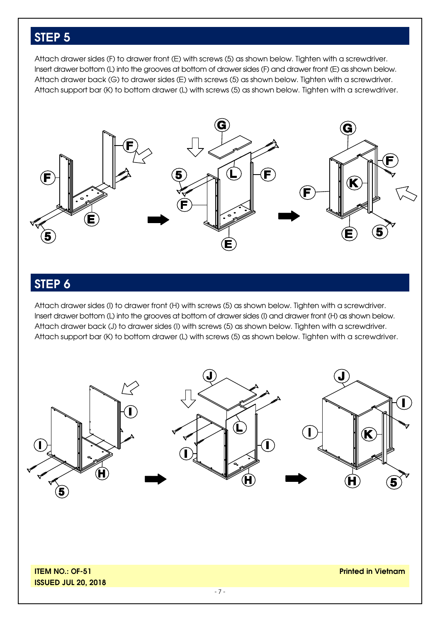Attach drawer sides (F) to drawer front (E) with screws (5) as shown below. Tighten with a screwdriver. Insert drawer bottom (L) into the grooves at bottom of drawer sides (F) and drawer front (E) as shown below. Attach drawer back (G) to drawer sides (E) with screws (5) as shown below. Tighten with a screwdriver. Attach support bar (K) to bottom drawer (L) with screws (5) as shown below. Tighten with a screwdriver.



### **STEP 6**

Attach drawer sides (I) to drawer front (H) with screws (5) as shown below. Tighten with a screwdriver. Insert drawer bottom (L) into the grooves at bottom of drawer sides (I) and drawer front (H) as shown below. Attach drawer back (J) to drawer sides (I) with screws (5) as shown below. Tighten with a screwdriver. Attach support bar (K) to bottom drawer (L) with screws (5) as shown below. Tighten with a screwdriver.